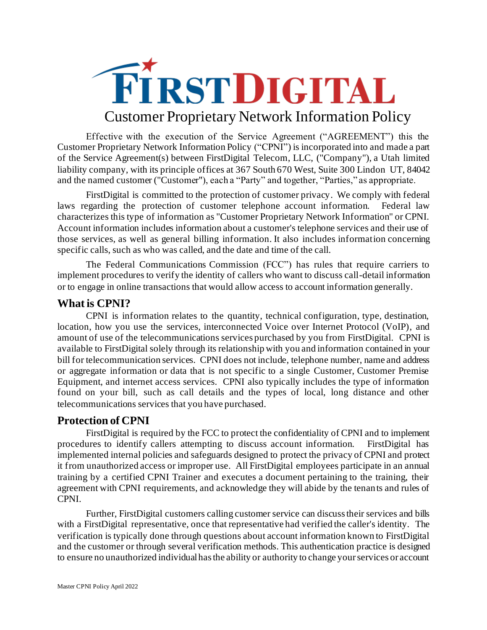

Effective with the execution of the Service Agreement ("AGREEMENT") this the Customer Proprietary Network Information Policy ("CPNI") is incorporated into and made a part of the Service Agreement(s) between FirstDigital Telecom, LLC, ("Company"), a Utah limited liability company, with its principle offices at 367 South 670 West, Suite 300 Lindon UT, 84042 and the named customer ("Customer"), each a "Party" and together, "Parties," as appropriate.

FirstDigital is committed to the protection of customer privacy. We comply with federal laws regarding the protection of customer telephone account information. Federal law characterizes this type of information as "Customer Proprietary Network Information" or CPNI. Account information includes information about a customer's telephone services and their use of those services, as well as general billing information. It also includes information concerning specific calls, such as who was called, and the date and time of the call.

The Federal Communications Commission (FCC") has rules that require carriers to implement procedures to verify the identity of callers who want to discuss call-detail information or to engage in online transactions that would allow access to account information generally.

## **What is CPNI?**

CPNI is information relates to the quantity, technical configuration, type, destination, location, how you use the services, interconnected Voice over Internet Protocol (VoIP), and amount of use of the telecommunications services purchased by you from FirstDigital. CPNI is available to FirstDigital solely through its relationship with you and information contained in your bill for telecommunication services. CPNI does not include, telephone number, name and address or aggregate information or data that is not specific to a single Customer, Customer Premise Equipment, and internet access services. CPNI also typically includes the type of information found on your bill, such as call details and the types of local, long distance and other telecommunications services that you have purchased.

## **Protection of CPNI**

FirstDigital is required by the FCC to protect the confidentiality of CPNI and to implement procedures to identify callers attempting to discuss account information. FirstDigital has implemented internal policies and safeguards designed to protect the privacy of CPNI and protect it from unauthorized access or improper use. All FirstDigital employees participate in an annual training by a certified CPNI Trainer and executes a document pertaining to the training, their agreement with CPNI requirements, and acknowledge they will abide by the tenants and rules of CPNI.

Further, FirstDigital customers calling customer service can discuss their services and bills with a FirstDigital representative, once that representative had verified the caller's identity. The verification is typically done through questions about account information known to FirstDigital and the customer or through several verification methods. This authentication practice is designed to ensure no unauthorized individual has the ability or authority to change your services or account